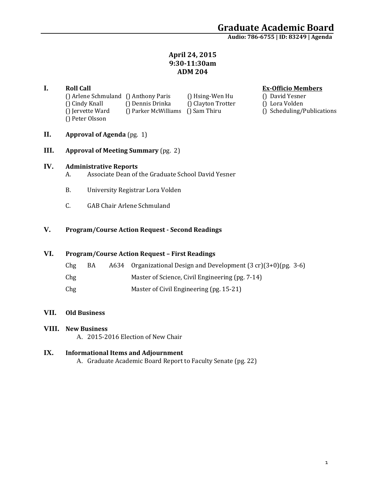# Graduate Academic Board<br>Audio: 786-6755 | ID: 83249 | Agenda

## **April 24, 2015 9:30‐11:30am ADM 204**

**I. Roll Call**<br> **Coll Call Coll Call O Anthony Paris O Hsing-Wen Hu O David Yesner O David Yesner** () Arlene Schmuland () Anthony Paris () Hsing-Wen Hu () Cindy Knall () Dennis Drinka () Clayton Trotter () Lora Volden () Jervette Ward () Parker McWilliams () Sam Thiru () Scheduling/Publications () Peter Olsson 

- 
- 
- 

- **II. Approval of Agenda** (pg. 1)
- **III. Approval of Meeting Summary** (pg. 2)

### **IV. Administrative Reports**

- A. Associate Dean of the Graduate School David Yesner
- B. University Registrar Lora Volden
- C. GAB Chair Arlene Schmuland

## **V. Program/Course Action Request ‐ Second Readings**

## **VI. Program/Course Action Request – First Readings**

| Chg | BA | A634 Organizational Design and Development $(3 cr)(3+0)$ (pg. 3-6) |
|-----|----|--------------------------------------------------------------------|
| Chg |    | Master of Science, Civil Engineering (pg. 7-14)                    |
| Chg |    | Master of Civil Engineering (pg. 15-21)                            |

### **VII. Old Business**

### **VIII. New Business**

A. 2015-2016 Election of New Chair

### **IX. Informational Items and Adjournment**

A. Graduate Academic Board Report to Faculty Senate (pg. 22)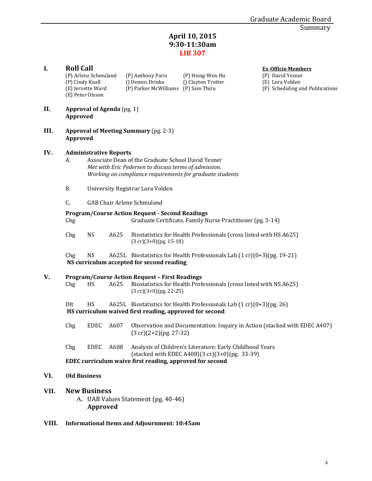## **April 10, 2015 9:30‐11:30am LIB 307**

| I.   | <b>Roll Call</b><br>(P) Cindy Knall<br>(E) Peter Olsson  | (P) Arlene Schmuland<br>(E) Jervette Ward                                                                                                                                                                |      | (P) Anthony Paris<br>() Dennis Drinka<br>(P) Parker McWilliams (P) Sam Thiru               | (P) Hsing-Wen Hu<br>() Clayton Trotter                                                                     | <b>Ex-Officio Members</b><br>(P) David Yesner<br>(E) Lora Volden<br>(P) Scheduling and Publications |  |  |  |  |
|------|----------------------------------------------------------|----------------------------------------------------------------------------------------------------------------------------------------------------------------------------------------------------------|------|--------------------------------------------------------------------------------------------|------------------------------------------------------------------------------------------------------------|-----------------------------------------------------------------------------------------------------|--|--|--|--|
| II.  | Approved                                                 | <b>Approval of Agenda</b> (pg. 1)                                                                                                                                                                        |      |                                                                                            |                                                                                                            |                                                                                                     |  |  |  |  |
| III. | <b>Approval of Meeting Summary (pg. 2-3)</b><br>Approved |                                                                                                                                                                                                          |      |                                                                                            |                                                                                                            |                                                                                                     |  |  |  |  |
| IV.  | А.                                                       | <b>Administrative Reports</b><br>Associate Dean of the Graduate School David Yesner<br>Met with Eric Pedersen to discuss terms of admission.<br>Working on compliance requirements for graduate students |      |                                                                                            |                                                                                                            |                                                                                                     |  |  |  |  |
|      | В.                                                       |                                                                                                                                                                                                          |      | University Registrar Lora Volden                                                           |                                                                                                            |                                                                                                     |  |  |  |  |
|      | C.                                                       |                                                                                                                                                                                                          |      | <b>GAB Chair Arlene Schmuland</b>                                                          |                                                                                                            |                                                                                                     |  |  |  |  |
|      | Chg                                                      |                                                                                                                                                                                                          |      | <b>Program/Course Action Request - Second Readings</b>                                     | Graduate Certificate, Family Nurse Practitioner (pg. 5-14)                                                 |                                                                                                     |  |  |  |  |
|      | Chg                                                      | <b>NS</b>                                                                                                                                                                                                | A625 | $(3 \text{ cr})(3+0)$ (pg. 15-18)                                                          | Biostatistics for Health Professionals (cross listed with HS A625)                                         |                                                                                                     |  |  |  |  |
|      | Chg                                                      | <b>NS</b>                                                                                                                                                                                                |      | NS curriculum accepted for second reading                                                  | A625L Biostatistics for Health Professionals Lab (1 cr)(0+3)(pg. 19-21)                                    |                                                                                                     |  |  |  |  |
| V.   | Chg                                                      | HS                                                                                                                                                                                                       | A625 | <b>Program/Course Action Request - First Readings</b><br>$(3 \text{ cr})(3+0)$ (pg. 22-25) | Biostatistics for Health Professionals (cross listed with NS A625)                                         |                                                                                                     |  |  |  |  |
|      | Dlt                                                      | HS                                                                                                                                                                                                       |      | HS curriculum waived first reading, approved for second                                    | A625L Biostatistics for Health Professionals Lab $(1 cr)(0+3)$ (pg. 26)                                    |                                                                                                     |  |  |  |  |
|      | Chg                                                      | <b>EDEC</b>                                                                                                                                                                                              | A607 | $(3 \text{ cr})(2+2)$ (pg. 27-32)                                                          | Observation and Documentation: Inquiry in Action (stacked with EDEC A407)                                  |                                                                                                     |  |  |  |  |
|      | Chg                                                      | EDEC                                                                                                                                                                                                     | A608 |                                                                                            | Analysis of Children's Literature: Early Childhood Years<br>(stacked with EDEC A408)(3 cr)(3+0)(pg. 33-39) |                                                                                                     |  |  |  |  |
|      |                                                          |                                                                                                                                                                                                          |      | EDEC curriculum waive first reading, approved for second                                   |                                                                                                            |                                                                                                     |  |  |  |  |
| VI.  | <b>Old Business</b>                                      |                                                                                                                                                                                                          |      |                                                                                            |                                                                                                            |                                                                                                     |  |  |  |  |
| VII. |                                                          | <b>New Business</b><br>Approved                                                                                                                                                                          |      | A. UAB Values Statement (pg. 40-46)                                                        |                                                                                                            |                                                                                                     |  |  |  |  |

**VIII. Informational Items and Adjournment: 10:45am**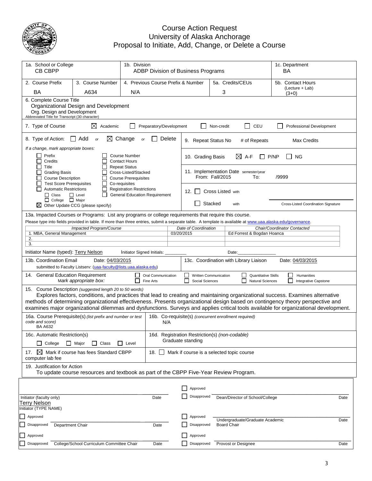

## Course Action Request University of Alaska Anchorage Proposal to Initiate, Add, Change, or Delete a Course

| 1a. School or College<br>1b. Division<br>CB CBPP                                                                                                                                            |                                                                                                                                                                                                                                                                         |                                                                                              | ADBP Division of Business Programs |        |                                                                     |                          | 1c. Department<br>ВA                                  |                                     |      |
|---------------------------------------------------------------------------------------------------------------------------------------------------------------------------------------------|-------------------------------------------------------------------------------------------------------------------------------------------------------------------------------------------------------------------------------------------------------------------------|----------------------------------------------------------------------------------------------|------------------------------------|--------|---------------------------------------------------------------------|--------------------------|-------------------------------------------------------|-------------------------------------|------|
| 2. Course Prefix                                                                                                                                                                            | 3. Course Number                                                                                                                                                                                                                                                        |                                                                                              |                                    |        | 4. Previous Course Prefix & Number                                  |                          | 5a. Credits/CEUs                                      | 5b. Contact Hours                   |      |
| BA                                                                                                                                                                                          | A634                                                                                                                                                                                                                                                                    | N/A                                                                                          |                                    |        |                                                                     | 3                        |                                                       | (Lecture + Lab)<br>$(3+0)$          |      |
| 6. Complete Course Title<br>Org. Design and Development<br>Abbreviated Title for Transcript (30 character)                                                                                  | Organizational Design and Development                                                                                                                                                                                                                                   |                                                                                              |                                    |        |                                                                     |                          |                                                       |                                     |      |
| 7. Type of Course                                                                                                                                                                           | ⊠<br>Academic                                                                                                                                                                                                                                                           |                                                                                              | Preparatory/Development            |        |                                                                     | Non-credit               | CEU<br>$\overline{\phantom{a}}$                       | Professional Development            |      |
| 8. Type of Action:                                                                                                                                                                          | $\Box$ Add<br><b>or</b>                                                                                                                                                                                                                                                 | $\boxtimes$ Change<br>or                                                                     |                                    | Delete | 9. Repeat Status No                                                 |                          | # of Repeats                                          | <b>Max Credits</b>                  |      |
| If a change, mark appropriate boxes:<br>Prefix<br>$\blacksquare$<br>Credits                                                                                                                 |                                                                                                                                                                                                                                                                         | <b>Course Number</b><br><b>Contact Hours</b>                                                 |                                    |        | 10. Grading Basis                                                   |                          | $\boxtimes$ A-F                                       | P/NP<br>ΝG                          |      |
| Title<br><b>Grading Basis</b><br><b>Course Description</b><br><b>Test Score Prerequisites</b>                                                                                               |                                                                                                                                                                                                                                                                         | <b>Repeat Status</b><br>Cross-Listed/Stacked<br><b>Course Prerequisites</b><br>Co-requisites |                                    |        |                                                                     | From: Fall/2015          | 11. Implementation Date semester/year<br>To:          | /9999                               |      |
| <b>Automatic Restrictions</b><br>$\Box$ Class                                                                                                                                               | $\Box$ Level                                                                                                                                                                                                                                                            | <b>Registration Restrictions</b><br><b>General Education Requirement</b>                     |                                    |        | 12.<br>$\mathbf{I}$                                                 | <b>Cross Listed with</b> |                                                       |                                     |      |
| College   Major                                                                                                                                                                             | $\boxtimes$ Other Update CCG (please specify)                                                                                                                                                                                                                           |                                                                                              |                                    |        |                                                                     | Stacked                  | with                                                  | Cross-Listed Coordination Signature |      |
| 13a. Impacted Courses or Programs: List any programs or college requirements that require this course.                                                                                      | Please type into fields provided in table. If more than three entries, submit a separate table. A template is available at www.uaa.alaska.edu/governance.                                                                                                               |                                                                                              |                                    |        |                                                                     |                          |                                                       |                                     |      |
|                                                                                                                                                                                             | Impacted Program/Course                                                                                                                                                                                                                                                 |                                                                                              |                                    |        | Date of Coordination                                                |                          |                                                       | Chair/Coordinator Contacted         |      |
| 1. MBA, General Management<br>2.                                                                                                                                                            |                                                                                                                                                                                                                                                                         |                                                                                              |                                    |        | 03/20/2015                                                          |                          | Ed Forrest & Bogdan Hoanca                            |                                     |      |
| 3.<br>Initiator Name (typed): Terry Nelson                                                                                                                                                  |                                                                                                                                                                                                                                                                         | Initiator Signed Initials:                                                                   |                                    |        |                                                                     |                          | Date:                                                 |                                     |      |
| 13b. Coordination Email                                                                                                                                                                     | Date: 04/03/2015<br>submitted to Faculty Listserv: (uaa-faculty@lists.uaa.alaska.edu)                                                                                                                                                                                   |                                                                                              |                                    |        |                                                                     |                          | 13c. Coordination with Library Liaison                | Date: 04/03/2015                    |      |
| 14. General Education Requirement                                                                                                                                                           | Mark appropriate box:                                                                                                                                                                                                                                                   |                                                                                              | Oral Communication<br>Fine Arts    |        | Written Communication<br>Social Sciences                            |                          | <b>Quantitative Skills</b><br><b>Natural Sciences</b> | Humanities<br>Integrative Capstone  |      |
| 15. Course Description (suggested length 20 to 50 words)<br>methods of determining organizational effectiveness. Presents organizational design based on contingency theory perspective and | Explores factors, conditions, and practices that lead to creating and maintaining organizational success. Examines alternative<br>examines major organizational dilemmas and dysfunctions. Surveys and applies critical tools available for organizational development. |                                                                                              |                                    |        |                                                                     |                          |                                                       |                                     |      |
| code and score)<br><b>BA A632</b>                                                                                                                                                           | 16a. Course Prerequisite(s) (list prefix and number or test                                                                                                                                                                                                             |                                                                                              | N/A                                |        |                                                                     |                          | 16b. Co-requisite(s) (concurrent enrollment required) |                                     |      |
| 16c. Automatic Restriction(s)<br>$\Box$<br>College                                                                                                                                          | □ Major<br>$\perp$<br>Class                                                                                                                                                                                                                                             | $\Box$ Level                                                                                 |                                    |        | 16d. Registration Restriction(s) (non-codable)<br>Graduate standing |                          |                                                       |                                     |      |
| $\bowtie$<br>17.<br>computer lab fee                                                                                                                                                        | Mark if course has fees Standard CBPP<br>18.<br>Mark if course is a selected topic course                                                                                                                                                                               |                                                                                              |                                    |        |                                                                     |                          |                                                       |                                     |      |
| 19. Justification for Action                                                                                                                                                                | To update course resources and textbook as part of the CBPP Five-Year Review Program.                                                                                                                                                                                   |                                                                                              |                                    |        |                                                                     |                          |                                                       |                                     |      |
|                                                                                                                                                                                             |                                                                                                                                                                                                                                                                         |                                                                                              |                                    |        | Approved                                                            |                          |                                                       |                                     |      |
| Initiator (faculty only)<br><b>Terry Nelson</b><br>Initiator (TYPE NAME)                                                                                                                    |                                                                                                                                                                                                                                                                         |                                                                                              | Date                               |        | Disapproved                                                         |                          | Dean/Director of School/College                       |                                     | Date |
| Approved                                                                                                                                                                                    |                                                                                                                                                                                                                                                                         |                                                                                              |                                    |        | Approved                                                            |                          |                                                       |                                     |      |
| Disapproved<br>Department Chair                                                                                                                                                             |                                                                                                                                                                                                                                                                         |                                                                                              | Date                               |        | Disapproved                                                         |                          | Undergraduate/Graduate Academic<br><b>Board Chair</b> |                                     | Date |
| Approved                                                                                                                                                                                    |                                                                                                                                                                                                                                                                         |                                                                                              |                                    |        | Approved                                                            |                          |                                                       |                                     |      |
| Disapproved                                                                                                                                                                                 | College/School Curriculum Committee Chair                                                                                                                                                                                                                               |                                                                                              | Date                               |        | Disapproved                                                         |                          | Provost or Designee                                   |                                     | Date |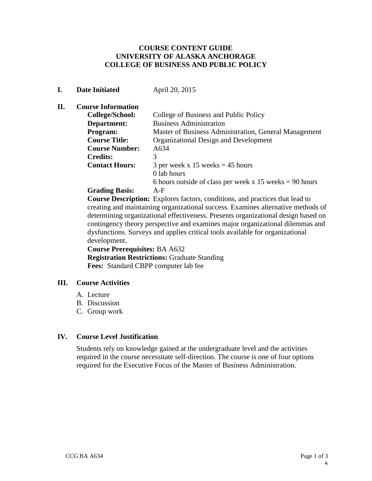## **COURSE CONTENT GUIDE UNIVERSITY OF ALASKA ANCHORAGE COLLEGE OF BUSINESS AND PUBLIC POLICY**

## **I. Date Initiated April 20, 2015**

## **II. Course Information**

| College/School:       | College of Business and Public Policy                     |
|-----------------------|-----------------------------------------------------------|
| Department:           | <b>Business Administration</b>                            |
| Program:              | Master of Business Administration, General Management     |
| <b>Course Title:</b>  | Organizational Design and Development                     |
| <b>Course Number:</b> | A634                                                      |
| <b>Credits:</b>       | 3                                                         |
| <b>Contact Hours:</b> | 3 per week x 15 weeks $=$ 45 hours                        |
|                       | 0 lab hours                                               |
|                       | 6 hours outside of class per week x 15 weeks $= 90$ hours |
| <b>Grading Basis:</b> | $A-F$                                                     |

**Course Description:** Explores factors, conditions, and practices that lead to creating and maintaining organizational success. Examines alternative methods of determining organizational effectiveness. Presents organizational design based on contingency theory perspective and examines major organizational dilemmas and dysfunctions. Surveys and applies critical tools available for organizational development.

 **Course Prerequisites:** BA A632 **Registration Restrictions:** Graduate Standing  **Fees:** Standard CBPP computer lab fee

## **III. Course Activities**

- A. Lecture
- B. Discussion
- C. Group work

## **IV. Course Level Justification**

Students rely on knowledge gained at the undergraduate level and the activities required in the course necessitate self-direction. The course is one of four options required for the Executive Focus of the Master of Business Administration.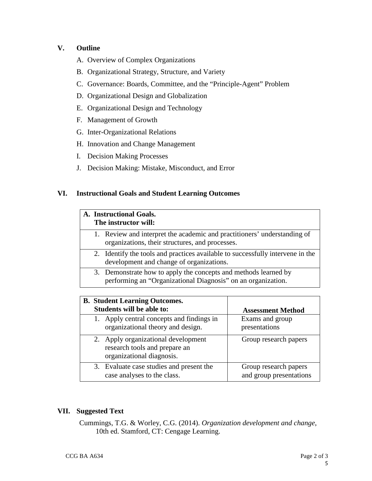## **V. Outline**

- A. Overview of Complex Organizations
- B. Organizational Strategy, Structure, and Variety
- C. Governance: Boards, Committee, and the "Principle-Agent" Problem
- D. Organizational Design and Globalization
- E. Organizational Design and Technology
- F. Management of Growth
- G. Inter-Organizational Relations
- H. Innovation and Change Management
- I. Decision Making Processes
- J. Decision Making: Mistake, Misconduct, and Error

## **VI. Instructional Goals and Student Learning Outcomes**

| A. Instructional Goals.<br>The instructor will:                                                                             |                                                                                                                                 |  |  |  |  |  |
|-----------------------------------------------------------------------------------------------------------------------------|---------------------------------------------------------------------------------------------------------------------------------|--|--|--|--|--|
| 1. Review and interpret the academic and practitioners' understanding of<br>organizations, their structures, and processes. |                                                                                                                                 |  |  |  |  |  |
|                                                                                                                             | 2. Identify the tools and practices available to successfully intervene in the<br>development and change of organizations.      |  |  |  |  |  |
|                                                                                                                             | 3. Demonstrate how to apply the concepts and methods learned by<br>performing an "Organizational Diagnosis" on an organization. |  |  |  |  |  |

| <b>B.</b> Student Learning Outcomes.                                                              |                                                  |  |  |  |
|---------------------------------------------------------------------------------------------------|--------------------------------------------------|--|--|--|
| Students will be able to:                                                                         | <b>Assessment Method</b>                         |  |  |  |
| 1. Apply central concepts and findings in<br>organizational theory and design.                    | Exams and group<br>presentations                 |  |  |  |
| 2. Apply organizational development<br>research tools and prepare an<br>organizational diagnosis. | Group research papers                            |  |  |  |
| 3. Evaluate case studies and present the<br>case analyses to the class.                           | Group research papers<br>and group presentations |  |  |  |

## **VII. Suggested Text**

Cummings, T.G. & Worley, C.G. (2014). *Organization development and change*, 10th ed. Stamford, CT: Cengage Learning.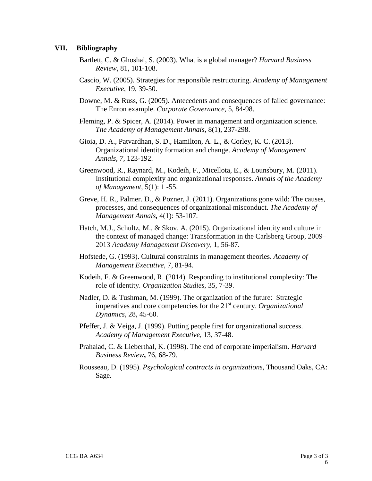## **VII. Bibliography**

- Bartlett, C. & Ghoshal, S. (2003). What is a global manager? *Harvard Business Review,* 81, 101-108.
- Cascio, W. (2005). Strategies for responsible restructuring. *Academy of Management Executive,* 19, 39-50.
- Downe, M. & Russ, G. (2005). Antecedents and consequences of failed governance: The Enron example. *Corporate Governance,* 5, 84-98.
- Fleming, P. & Spicer, A. (2014). Power in management and organization science. *The Academy of Management Annals*, 8(1), 237-298.
- Gioia, D. A., Patvardhan, S. D., Hamilton, A. L., & Corley, K. C. (2013). Organizational identity formation and change. *Academy of Management Annals, 7,* 123-192.
- Greenwood, R., Raynard, M., Kodeih, F., Micellota, E., & Lounsbury, M. (2011). Institutional complexity and organizational responses. *Annals of the Academy of Management,* 5(1): 1 -55.
- Greve, H. R., Palmer. D., & Pozner, J. (2011). Organizations gone wild: The causes, processes, and consequences of organizational misconduct. *The Academy of Management Annals,* 4(1): 53-107.
- Hatch, M.J., Schultz, M., & Skov, A. (2015). Organizational identity and culture in the context of managed change: Transformation in the Carlsberg Group, 2009– 2013 *Academy Management Discovery*, 1, 56-87*.*
- Hofstede, G. (1993). Cultural constraints in management theories. *Academy of Management Executive,* 7, 81-94.
- Kodeih, F. & Greenwood, R. (2014). Responding to institutional complexity: The role of identity. *Organization Studies,* 35, 7-39.
- Nadler, D. & Tushman, M. (1999). The organization of the future: Strategic imperatives and core competencies for the 21<sup>st</sup> century. *Organizational Dynamics,* 28, 45-60.
- Pfeffer, J. & Veiga, J. (1999). Putting people first for organizational success. *Academy of Management Executive,* 13, 37-48.
- Prahalad, C. & Lieberthal, K. (1998). The end of corporate imperialism. *Harvard Business Review***,** 76, 68-79.
- Rousseau, D. (1995). *Psychological contracts in organizations*, Thousand Oaks, CA: Sage.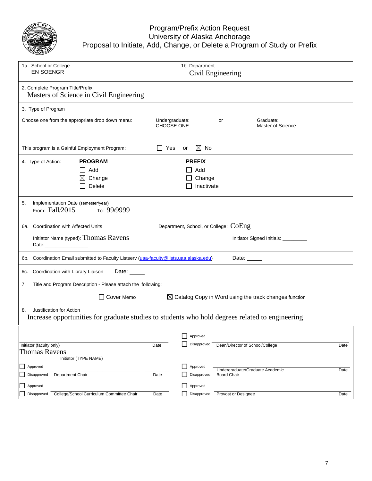

## Program/Prefix Action Request University of Alaska Anchorage Proposal to Initiate, Add, Change, or Delete a Program of Study or Prefix

| 1a. School or College<br><b>EN SOENGR</b>                                                                                         | 1b. Department<br>Civil Engineering                               |
|-----------------------------------------------------------------------------------------------------------------------------------|-------------------------------------------------------------------|
| 2. Complete Program Title/Prefix<br>Masters of Science in Civil Engineering                                                       |                                                                   |
| 3. Type of Program                                                                                                                |                                                                   |
| Choose one from the appropriate drop down menu:<br>Undergraduate:<br><b>CHOOSE ONE</b>                                            | Graduate:<br>or<br>Master of Science                              |
| This program is a Gainful Employment Program:<br><b>Yes</b>                                                                       | $\boxtimes$ No<br>or                                              |
| <b>PROGRAM</b><br>4. Type of Action:                                                                                              | <b>PREFIX</b>                                                     |
| Add                                                                                                                               | Add                                                               |
| Change<br>⊠                                                                                                                       | Change                                                            |
| Delete                                                                                                                            | Inactivate                                                        |
| 5.<br>Implementation Date (semester/year)<br>From: Fall/2015<br>то: 99/9999                                                       |                                                                   |
| 6a. Coordination with Affected Units                                                                                              | Department, School, or College: COEng                             |
| Initiator Name (typed): Thomas Ravens                                                                                             | Initiator Signed Initials: _________                              |
| 6b. Coordination Email submitted to Faculty Listserv (uaa-faculty@lists.uaa.alaska.edu)                                           | Date:                                                             |
| Coordination with Library Liaison<br>Date: _____<br>6c.                                                                           |                                                                   |
| Title and Program Description - Please attach the following:<br>7.                                                                |                                                                   |
| Cover Memo                                                                                                                        | $\boxtimes$ Catalog Copy in Word using the track changes function |
| Justification for Action<br>8.<br>Increase opportunities for graduate studies to students who hold degrees related to engineering |                                                                   |
|                                                                                                                                   | Approved                                                          |
| Initiator (faculty only)<br>Date<br><b>Thomas Ravens</b>                                                                          | Disapproved<br>Dean/Director of School/College<br>Date            |
| Initiator (TYPE NAME)                                                                                                             |                                                                   |
| Approved                                                                                                                          | Approved<br>Undergraduate/Graduate Academic<br>Date               |
| Disapproved<br>Department Chair<br>Date                                                                                           | Disapproved<br><b>Board Chair</b>                                 |
| Approved                                                                                                                          | Approved                                                          |
| College/School Curriculum Committee Chair<br>Disapproved<br>Date                                                                  | Disapproved<br>Provost or Designee<br>Date                        |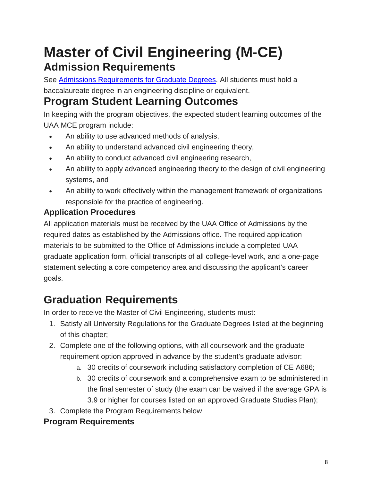## **Master of Civil Engineering (M-CE) Admission Requirements**

See Admissions [Requirements](http://catalog.uaa.alaska.edu/admissions/graduate/) for Graduate Degrees. All students must hold a baccalaureate degree in an engineering discipline or equivalent.

## **Program Student Learning Outcomes**

In keeping with the program objectives, the expected student learning outcomes of the UAA MCE program include:

- An ability to use advanced methods of analysis,
- An ability to understand advanced civil engineering theory,
- An ability to conduct advanced civil engineering research,
- An ability to apply advanced engineering theory to the design of civil engineering systems, and
- An ability to work effectively within the management framework of organizations responsible for the practice of engineering.

## **Application Procedures**

All application materials must be received by the UAA Office of Admissions by the required dates as established by the Admissions office. The required application materials to be submitted to the Office of Admissions include a completed UAA graduate application form, official transcripts of all college-level work, and a one-page statement selecting a core competency area and discussing the applicant's career goals.

## **Graduation Requirements**

In order to receive the Master of Civil Engineering, students must:

- 1. Satisfy all University Regulations for the Graduate Degrees listed at the beginning of this chapter;
- 2. Complete one of the following options, with all coursework and the graduate requirement option approved in advance by the student's graduate advisor:
	- a. 30 credits of coursework including satisfactory completion of CE A686;
	- b. 30 credits of coursework and a comprehensive exam to be administered in the final semester of study (the exam can be waived if the average GPA is 3.9 or higher for courses listed on an approved Graduate Studies Plan);
- 3. Complete the Program Requirements below

## **Program Requirements**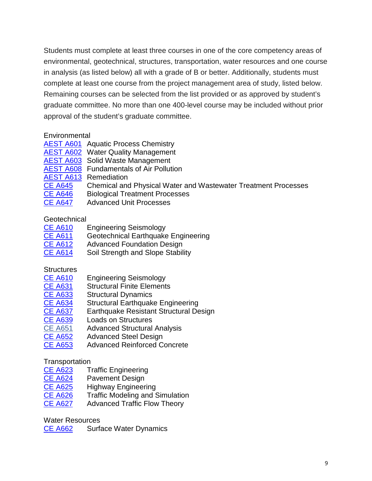Students must complete at least three courses in one of the core competency areas of environmental, geotechnical, structures, transportation, water resources and one course in analysis (as listed below) all with a grade of B or better. Additionally, students must complete at least one course from the project management area of study, listed below. Remaining courses can be selected from the list provided or as approved by student's graduate committee. No more than one 400-level course may be included without prior approval of the student's graduate committee.

## **Environmental**

- [AEST](http://catalog.uaa.alaska.edu/search/?P=AEST%20A601) A601 Aquatic Process Chemistry
- [AEST](http://catalog.uaa.alaska.edu/search/?P=AEST%20A602) A602 Water Quality Management
- [AEST](http://catalog.uaa.alaska.edu/search/?P=AEST%20A603) A603 Solid Waste Management
- [AEST](http://catalog.uaa.alaska.edu/search/?P=AEST%20A608) A608 Fundamentals of Air Pollution
- [AEST](http://catalog.uaa.alaska.edu/search/?P=AEST%20A613) A613 Remediation
- CE [A645](http://catalog.uaa.alaska.edu/search/?P=CE%20A645) Chemical and Physical Water and Wastewater Treatment Processes
- CE [A646](http://catalog.uaa.alaska.edu/search/?P=CE%20A646) Biological Treatment Processes
- CE [A647](http://catalog.uaa.alaska.edu/search/?P=CE%20A647) Advanced Unit Processes

## **Geotechnical**

| <b>CE A610</b> | <b>Engineering Seismology</b> |  |
|----------------|-------------------------------|--|
|----------------|-------------------------------|--|

- CE [A611](http://catalog.uaa.alaska.edu/search/?P=CE%20A611) Geotechnical Earthquake Engineering
- CE [A612](http://catalog.uaa.alaska.edu/search/?P=CE%20A612) Advanced Foundation Design
- CE [A614](http://catalog.uaa.alaska.edu/search/?P=CE%20A614) Soil Strength and Slope Stability

## **Structures**

- CE [A610](http://catalog.uaa.alaska.edu/search/?P=CE%20A610) Engineering Seismology
- CE [A631](http://catalog.uaa.alaska.edu/search/?P=CE%20A631) Structural Finite Elements
- CE [A633](http://catalog.uaa.alaska.edu/search/?P=CE%20A633) Structural Dynamics<br>CE A634 Structural Earthquak
- Structural Earthquake Engineering
- CE [A637](http://catalog.uaa.alaska.edu/search/?P=CE%20A637) Earthquake Resistant Structural Design<br>CE A639 Loads on Structures
- **Loads on Structures**
- CE A651 Advanced Structural Analysis
- CE [A652](http://catalog.uaa.alaska.edu/search/?P=CE%20A652) Advanced Steel Design
- CE [A653](http://catalog.uaa.alaska.edu/search/?P=CE%20A654) Advanced Reinforced Concrete

## **Transportation**

- **CE [A623](http://catalog.uaa.alaska.edu/search/?P=CE%20A623)** Traffic Engineering<br>CE A624 Pavement Design
- Pavement Design
- CE [A625](http://catalog.uaa.alaska.edu/search/?P=CE%20A625) Highway Engineering
- CE [A626](http://catalog.uaa.alaska.edu/search/?P=CE%20A675) Traffic Modeling and Simulation
- CE [A627](http://catalog.uaa.alaska.edu/search/?P=CE%20A675) Advanced Traffic Flow Theory

## Water Resources

CE [A662](http://catalog.uaa.alaska.edu/search/?P=CE%20A662) Surface Water Dynamics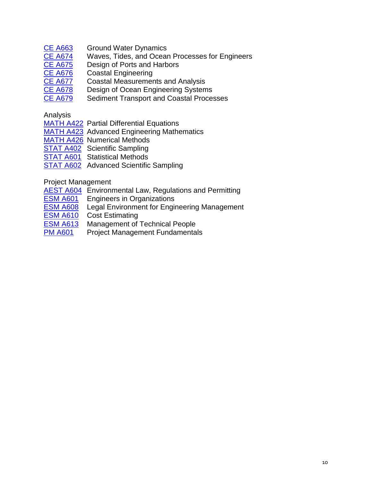- 
- CE [A663](http://catalog.uaa.alaska.edu/search/?P=CE%20A663) Ground Water Dynamics<br>CE A674 Waves, Tides, and Ocear CE [A674](http://catalog.uaa.alaska.edu/search/?P=CE%20A674) Waves, Tides, and Ocean Processes for Engineers<br>CE A675 Design of Ports and Harbors
- Design of Ports and Harbors
- CE [A676](http://catalog.uaa.alaska.edu/search/?P=CE%20A676) Coastal Engineering
- CE [A677](http://catalog.uaa.alaska.edu/search/?P=CE%20A677) Coastal Measurements and Analysis<br>CE A678 Design of Ocean Engineering System
- Design of Ocean Engineering Systems
- CE [A679](http://catalog.uaa.alaska.edu/search/?P=CE%20A677) Sediment Transport and Coastal Processes

## Analysis

- [MATH](http://catalog.uaa.alaska.edu/search/?P=MATH%20A422) A422 Partial Differential Equations
- [MATH](http://catalog.uaa.alaska.edu/search/?P=MATH%20A423) A423 Advanced Engineering Mathematics
- [MATH](http://catalog.uaa.alaska.edu/search/?P=MATH%20A426) A426 Numerical Methods
- [STAT](http://catalog.uaa.alaska.edu/search/?P=STAT%20A402) A402 Scientific Sampling
- **[STAT](http://catalog.uaa.alaska.edu/search/?P=STAT%20A601) A601** Statistical Methods
- [STAT](http://catalog.uaa.alaska.edu/search/?P=STAT%20A601) A602 Advanced Scientific Sampling

## Project Management

- [AEST](http://catalog.uaa.alaska.edu/search/?P=AEST%20A604) A604 Environmental Law, Regulations and Permitting
- **ESM [A601](http://catalog.uaa.alaska.edu/search/?P=ESM%20A601)** Engineers in Organizations
- **ESM [A608](http://catalog.uaa.alaska.edu/search/?P=ESM%20A608)** Legal Environment for Engineering Management
- ESM [A610](http://catalog.uaa.alaska.edu/search/?P=ESM%20A610) Cost Estimating
- **ESM [A613](http://catalog.uaa.alaska.edu/search/?P=ESM%20A613)** Management of Technical People
- PM [A601](http://catalog.uaa.alaska.edu/search/?P=PM%20A601) Project Management Fundamentals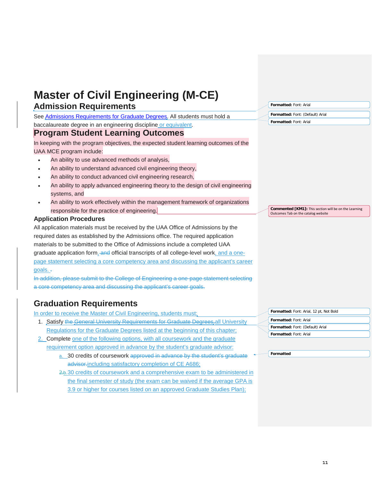| <b>Admission Requirements</b>                                                             | Formatted: Font: Arial                                                                       |
|-------------------------------------------------------------------------------------------|----------------------------------------------------------------------------------------------|
| See Admissions Requirements for Graduate Degrees. All students must hold a                | Formatted: Font: (Default) Arial                                                             |
| baccalaureate degree in an engineering discipline or equivalent.                          | Formatted: Font: Arial                                                                       |
| <b>Program Student Learning Outcomes</b>                                                  |                                                                                              |
| In keeping with the program objectives, the expected student learning outcomes of the     |                                                                                              |
| UAA MCE program include:                                                                  |                                                                                              |
| An ability to use advanced methods of analysis,                                           |                                                                                              |
| An ability to understand advanced civil engineering theory,<br>$\bullet$                  |                                                                                              |
| An ability to conduct advanced civil engineering research,                                |                                                                                              |
| An ability to apply advanced engineering theory to the design of civil engineering        |                                                                                              |
| systems, and                                                                              |                                                                                              |
| An ability to work effectively within the management framework of organizations           |                                                                                              |
| responsible for the practice of engineering.                                              | Commented [KM1]: This section will be on the Learning<br>Outcomes Tab on the catalog website |
| <b>Application Procedures</b>                                                             |                                                                                              |
| All application materials must be received by the UAA Office of Admissions by the         |                                                                                              |
| required dates as established by the Admissions office. The required application          |                                                                                              |
| materials to be submitted to the Office of Admissions include a completed UAA             |                                                                                              |
| graduate application form, and official transcripts of all college-level work, and a one- |                                                                                              |
| page statement selecting a core competency area and discussing the applicant's career     |                                                                                              |
| goals. $\overline{z}$                                                                     |                                                                                              |
| In addition, please submit to the College of Engineering a one-page statement selecting   |                                                                                              |
| a core competency area and discussing the applicant's career goals.                       |                                                                                              |
| <b>Graduation Requirements</b>                                                            |                                                                                              |
| In order to receive the Master of Civil Engineering, students must;                       | Formatted: Font: Arial, 12 pt, Not Bold                                                      |
| 1. Satisfy the General University Requirements for Graduate Degrees, all University       | Formatted: Font: Arial                                                                       |
|                                                                                           | Formatted: Font: (Default) Arial                                                             |

- Regulations for the Graduate Degrees listed at the beginning of this chapter;
- 2. Complete one of the following options, with all coursework and the graduate requirement option approved in advance by the student's graduate advisor:
	- a. 30 credits of coursework approved in advance by the student's graduate advisor.including satisfactory completion of CE A686;
	- 2.b.30 credits of coursework and a comprehensive exam to be administered in the final semester of study (the exam can be waived if the average GPA is 3.9 or higher for courses listed on an approved Graduate Studies Plan);

**Formatted:** Font: Arial

**Formatted**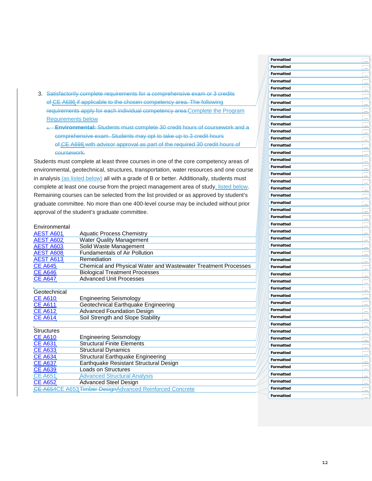- 3. Satisfactorily complete requirements for a comprehensive exam or 3 credits of CE A686 if applicable to the chosen competency area. The following requirements apply for each individual competency area:Complete the Program Requirements below
	- **Environmental:** Students must complete 30 credit hours of coursework and a comprehensive exam. Students may opt to take up to 3 credit hours of CE A698 with advisor approval as part of the required 30 credit hours of coursework.

Students must complete at least three courses in one of the core competency areas of environmental, geotechnical, structures, transportation, water resources and one course in analysis (as listed below) all with a grade of B or better. Additionally, students must complete at least one course from the project management area of study, listed below. Remaining courses can be selected from the list provided or as approved by student's graduate committee. No more than one 400 -level course may be included without prior approval of the student 's graduate committee.

#### **Environmental**

| <u>AEST A601,</u> | <b>Aquatic Process Chemistry</b>                               |  |  |
|-------------------|----------------------------------------------------------------|--|--|
| <b>AEST A602</b>  | <b>Water Quality Management</b>                                |  |  |
| <b>AEST A603</b>  | Solid Waste Management                                         |  |  |
| <b>AEST A608</b>  | <b>Fundamentals of Air Pollution</b>                           |  |  |
| AEST A613         | Remediation                                                    |  |  |
| <b>CE A645</b>    | Chemical and Physical Water and Wastewater Treatment Processes |  |  |
| <b>CE A646</b>    | <b>Biological Treatment Processes</b>                          |  |  |
| <b>CE A647</b>    | <b>Advanced Unit Processes</b>                                 |  |  |
|                   |                                                                |  |  |
| Geotechnical      |                                                                |  |  |
| <u>CE A610</u>    | <b>Engineering Seismology</b>                                  |  |  |
| CE A611           | Geotechnical Earthquake Engineering                            |  |  |
| <b>CE A612</b>    | <b>Advanced Foundation Design</b>                              |  |  |
| <u>CE A614</u>    | Soil Strength and Slope Stability                              |  |  |
|                   |                                                                |  |  |
| <b>Structures</b> |                                                                |  |  |
| <b>CE A610</b>    | <b>Engineering Seismology</b>                                  |  |  |
| CE A631           | <b>Structural Finite Elements</b>                              |  |  |
| <u>CE A633</u>    | <b>Structural Dynamics</b>                                     |  |  |
| CE A634           | Structural Earthquake Engineering                              |  |  |
| <u>CE A637</u>    | Earthquake Resistant Structural Design                         |  |  |
| <b>CE A639</b>    | <b>Loads on Structures</b>                                     |  |  |
| CE A651           | <b>Advanced Structural Analysis</b>                            |  |  |
| <b>CE A652</b>    | <b>Advanced Steel Design</b>                                   |  |  |
|                   | CE A654CE A653 Timber Design Advanced Reinforced Concrete      |  |  |
|                   |                                                                |  |  |

| Formatted | <u>in</u>                   |
|-----------|-----------------------------|
| Formatted |                             |
| Formatted | $\ldots$                    |
| Formatted | $\cdots$                    |
| Formatted | یے                          |
|           | يسا                         |
| Formatted | ے                           |
| Formatted | ے                           |
| Formatted | C <sub>in</sub>             |
| Formatted | ے۔                          |
| Formatted | ے۔                          |
| Formatted | ے                           |
| Formatted | ے                           |
| Formatted | l                           |
| Formatted | $\overline{\phantom{a}}$    |
| Formatted | <u></u>                     |
| Formatted | $\lfloor \ldots \rfloor$    |
| Formatted |                             |
| Formatted | ۔۔۔ ا                       |
| Formatted | ے۔ ا                        |
| Formatted | ____                        |
|           | <u>(</u>                    |
| Formatted | ____                        |
| Formatted | $\overline{\phantom{a}}$    |
| Formatted | $\equiv$                    |
| Formatted | Ļ                           |
| Formatted | <u>(</u>                    |
| Formatted | يسا                         |
| Formatted | <u>(</u>                    |
| Formatted | <u>(…</u>                   |
| Formatted | ____                        |
| Formatted | ِتِ                         |
| Formatted | چ                           |
| Formatted | ے                           |
| Formatted | ے۔                          |
| Formatted | C.                          |
| Formatted | يساً                        |
| Formatted | ے                           |
| Formatted | <u>لس</u>                   |
| Formatted | <u>ِ م</u>                  |
| Formatted |                             |
| Formatted | l                           |
| Formatted | $\left( \ \ldots \ \right)$ |
|           | <u></u>                     |
| Formatted | $\overline{\phantom{a}}$    |
| Formatted | $\overline{\mathcal{L}}$    |
| Formatted | حبا                         |
| Formatted | <u>in</u>                   |
| Formatted | $\frac{1}{2}$               |
| Formatted | $\frac{1}{2}$               |
| Formatted | $\overline{\mathbf{u}}$     |
|           |                             |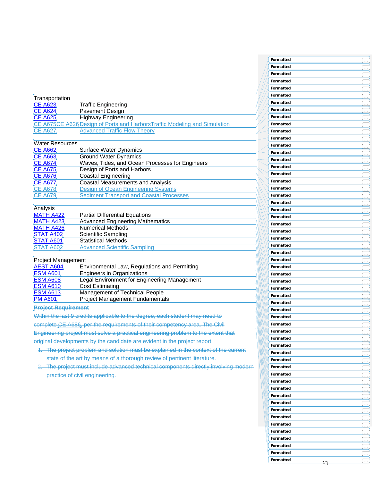|                            |                                                                                     | Formatted |                          |
|----------------------------|-------------------------------------------------------------------------------------|-----------|--------------------------|
|                            |                                                                                     | Formatted | $\overline{\mathbf{u}}$  |
|                            |                                                                                     | Formatted | $\ddot{\phantom{1}}$     |
|                            |                                                                                     | Formatted |                          |
|                            |                                                                                     | Formatted |                          |
|                            |                                                                                     |           |                          |
| Transportation             |                                                                                     | Formatted |                          |
| <b>CE A623</b>             | <b>Traffic Engineering</b>                                                          | Formatted |                          |
| <b>CE A624</b>             | Pavement Design                                                                     | Formatted | $\mathbb{R}$             |
| <b>CE A625</b>             | <b>Highway Engineering</b>                                                          | Formatted |                          |
|                            | CE A675CE A626 Design of Ports and Harbors Traffic Modeling and Simulation          | Formatted |                          |
| CE A627                    | <b>Advanced Traffic Flow Theory</b>                                                 |           |                          |
|                            |                                                                                     | Formatted | $\ldots$                 |
| <b>Water Resources</b>     |                                                                                     | Formatted |                          |
|                            |                                                                                     | Formatted | $\cdots$                 |
| <b>CE A662</b>             | Surface Water Dynamics                                                              | Formatted | $\ddotsc$                |
| <b>CE A663</b>             | <b>Ground Water Dynamics</b>                                                        | Formatted | $\cdots$                 |
| <b>CE A674</b>             | Waves, Tides, and Ocean Processes for Engineers                                     | Formatted |                          |
| <b>CE A675</b>             | Design of Ports and Harbors                                                         |           |                          |
| <b>CE A676</b>             | <b>Coastal Engineering</b>                                                          | Formatted |                          |
| <b>CE A677</b>             | <b>Coastal Measurements and Analysis</b>                                            | Formatted |                          |
| <b>CE A678</b>             | <b>Design of Ocean Engineering Systems</b>                                          | Formatted |                          |
| <b>CE A679</b>             | <b>Sediment Transport and Coastal Processes</b>                                     | Formatted |                          |
|                            |                                                                                     |           |                          |
| Analysis                   |                                                                                     | Formatted | $\ldots$                 |
| MATH A422                  | <b>Partial Differential Equations</b>                                               | Formatted | $\mathbf{r}$             |
|                            |                                                                                     | Formatted |                          |
| MATH A423                  | <b>Advanced Engineering Mathematics</b>                                             | Formatted |                          |
| MATH A426                  | <b>Numerical Methods</b>                                                            | Formatted |                          |
| STAT A402                  | <b>Scientific Sampling</b>                                                          | Formatted |                          |
| STAT A601                  | <b>Statistical Methods</b>                                                          |           | $\ddotsc$                |
| STAT A602                  | <b>Advanced Scientific Sampling</b>                                                 | Formatted |                          |
|                            |                                                                                     | Formatted | j.                       |
| <b>Project Management</b>  |                                                                                     | Formatted | $\overline{\phantom{a}}$ |
| <b>AEST A604</b>           | Environmental Law, Regulations and Permitting                                       | Formatted |                          |
| <b>ESM A601</b>            | <b>Engineers in Organizations</b>                                                   | Formatted |                          |
| <b>ESM A608</b>            | Legal Environment for Engineering Management                                        |           |                          |
| <b>ESM A610</b>            | <b>Cost Estimating</b>                                                              | Formatted | $\overline{\ldots}$      |
| <b>ESM A613</b>            |                                                                                     | Formatted |                          |
|                            | Management of Technical People                                                      | Formatted | $\mathbb{R}$             |
| <b>PM A601</b>             | <b>Project Management Fundamentals</b>                                              | Formatted | i.                       |
| <b>Project Requirement</b> |                                                                                     | Formatted |                          |
|                            | Within the last 9 credits applicable to the degree, each student may need to        |           | $\ldots$                 |
|                            |                                                                                     | Formatted |                          |
|                            | complete CE A686, per the requirements of their competency area. The Civil          | Formatted |                          |
|                            | Engineering project must solve a practical engineering problem to the extent that   | Formatted | $\ddotsc$                |
|                            |                                                                                     | Formatted |                          |
|                            | original developments by the candidate are evident in the project report.           | Formatted |                          |
|                            | 1. The project problem and solution must be explained in the context of the current |           | $\ddotsc$                |
|                            |                                                                                     | Formatted |                          |
|                            | state of the art by means of a thorough review of pertinent literature.             | Formatted |                          |
|                            | 2. The project must include advanced technical components directly involving modern | Formatted |                          |
|                            |                                                                                     | Formatted |                          |
|                            | practice of civil engineering.                                                      |           |                          |
|                            |                                                                                     | Formatted |                          |
|                            |                                                                                     | Formatted | $\ldots$                 |
|                            |                                                                                     | Formatted | $\ddotsc$                |
|                            |                                                                                     | Formatted | $\ldots$                 |
|                            |                                                                                     | Formatted |                          |
|                            |                                                                                     |           | in.                      |
|                            |                                                                                     | Formatted | $\ddot{\phantom{a}}$     |
|                            |                                                                                     | Formatted | $\bar{\Omega}$           |
|                            |                                                                                     | Formatted | $\ddot{\phantom{a}}$     |
|                            |                                                                                     | Formatted |                          |
|                            |                                                                                     |           | $\ddotsc$                |
|                            |                                                                                     | Formatted |                          |
|                            |                                                                                     | Formatted |                          |
|                            |                                                                                     |           |                          |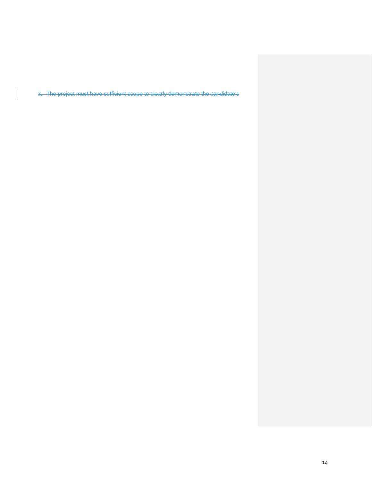3. The project must have sufficient scope to clearly demonstrate the candidate's

 $\begin{array}{c} \end{array}$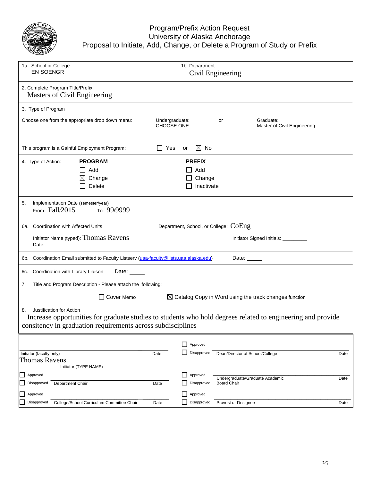

## Program/Prefix Action Request University of Alaska Anchorage Proposal to Initiate, Add, Change, or Delete a Program of Study or Prefix

| 1a. School or College<br><b>EN SOENGR</b>                        |                                                                                         |                              |    | 1b. Department<br>Civil Engineering          |                    |                                                                                                             |      |
|------------------------------------------------------------------|-----------------------------------------------------------------------------------------|------------------------------|----|----------------------------------------------|--------------------|-------------------------------------------------------------------------------------------------------------|------|
| 2. Complete Program Title/Prefix<br>Masters of Civil Engineering |                                                                                         |                              |    |                                              |                    |                                                                                                             |      |
| 3. Type of Program                                               |                                                                                         |                              |    |                                              |                    |                                                                                                             |      |
|                                                                  | Choose one from the appropriate drop down menu:                                         | Undergraduate:<br>CHOOSE ONE |    |                                              | or                 | Graduate:<br>Master of Civil Engineering                                                                    |      |
|                                                                  | This program is a Gainful Employment Program:                                           | $\Box$ Yes                   | or | $\boxtimes$ No                               |                    |                                                                                                             |      |
| 4. Type of Action:                                               | <b>PROGRAM</b><br>Add<br>$\mathsf{L}$<br>Change<br>$\bowtie$<br>Delete                  |                              |    | <b>PREFIX</b><br>Add<br>Change<br>Inactivate |                    |                                                                                                             |      |
| Implementation Date (semester/year)<br>5.<br>From: Fall/2015     | то: 99/9999                                                                             |                              |    |                                              |                    |                                                                                                             |      |
| 6a. Coordination with Affected Units                             |                                                                                         |                              |    | Department, School, or College: COEng        |                    |                                                                                                             |      |
| Date:_______________                                             | Initiator Name (typed): Thomas Ravens                                                   |                              |    |                                              |                    | Initiator Signed Initials: _________                                                                        |      |
|                                                                  | 6b. Coordination Email submitted to Faculty Listserv (uaa-faculty@lists.uaa.alaska.edu) |                              |    |                                              |                    | Date:                                                                                                       |      |
| Coordination with Library Liaison<br>6с.                         | Date: $\_\_$                                                                            |                              |    |                                              |                    |                                                                                                             |      |
| 7.                                                               | Title and Program Description - Please attach the following:                            |                              |    |                                              |                    |                                                                                                             |      |
|                                                                  | Cover Memo                                                                              |                              |    |                                              |                    | $\boxtimes$ Catalog Copy in Word using the track changes function                                           |      |
| Justification for Action<br>8.                                   | consitency in graduation requirements across subdisciplines                             |                              |    |                                              |                    | Increase opportunities for graduate studies to students who hold degrees related to engineering and provide |      |
|                                                                  |                                                                                         |                              |    | Approved                                     |                    |                                                                                                             |      |
| Initiator (faculty only)<br><b>Thomas Ravens</b>                 | Initiator (TYPE NAME)                                                                   | Date                         |    | Disapproved                                  |                    | Dean/Director of School/College                                                                             | Date |
| Approved                                                         |                                                                                         |                              |    | Approved                                     |                    | Undergraduate/Graduate Academic                                                                             | Date |
| Department Chair<br>Disapproved                                  |                                                                                         | Date                         |    | Disapproved                                  | <b>Board Chair</b> |                                                                                                             |      |
| Approved<br>Disapproved                                          | College/School Curriculum Committee Chair                                               | Date                         |    | Approved<br>Disapproved                      |                    | Provost or Designee                                                                                         | Date |
|                                                                  |                                                                                         |                              |    |                                              |                    |                                                                                                             |      |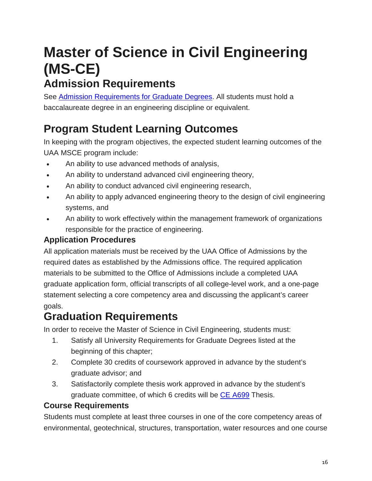# **Master of Science in Civil Engineering (MS-CE)**

## **Admission Requirements**

See Admission [Requirements](http://catalog.uaa.alaska.edu/admissions/graduate/) for Graduate Degrees. All students must hold a baccalaureate degree in an engineering discipline or equivalent.

## **Program Student Learning Outcomes**

In keeping with the program objectives, the expected student learning outcomes of the UAA MSCE program include:

- An ability to use advanced methods of analysis,
- An ability to understand advanced civil engineering theory,
- An ability to conduct advanced civil engineering research,
- An ability to apply advanced engineering theory to the design of civil engineering systems, and
- An ability to work effectively within the management framework of organizations responsible for the practice of engineering.

## **Application Procedures**

All application materials must be received by the UAA Office of Admissions by the required dates as established by the Admissions office. The required application materials to be submitted to the Office of Admissions include a completed UAA graduate application form, official transcripts of all college-level work, and a one-page statement selecting a core competency area and discussing the applicant's career goals.

## **Graduation Requirements**

In order to receive the Master of Science in Civil Engineering, students must:

- 1. Satisfy all University Requirements for Graduate Degrees listed at the beginning of this chapter;
- 2. Complete 30 credits of coursework approved in advance by the student's graduate advisor; and
- 3. Satisfactorily complete thesis work approved in advance by the student's graduate committee, of which 6 credits will be CE [A699](http://catalog.uaa.alaska.edu/search/?P=CE%20A699) Thesis.

## **Course Requirements**

Students must complete at least three courses in one of the core competency areas of environmental, geotechnical, structures, transportation, water resources and one course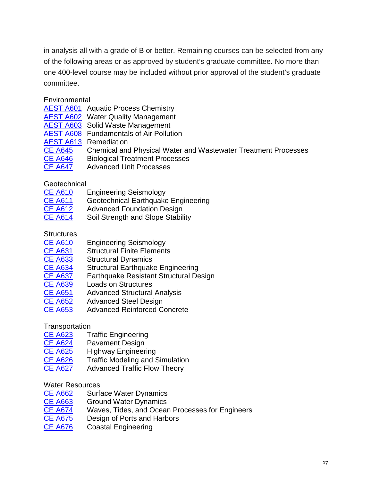in analysis all with a grade of B or better. Remaining courses can be selected from any of the following areas or as approved by student's graduate committee. No more than one 400-level course may be included without prior approval of the student's graduate committee.

**Environmental** 

| <b>AEST A601</b> Aquatic Process Chemistry |
|--------------------------------------------|
|                                            |

- [AEST](http://catalog.uaa.alaska.edu/search/?P=AEST%20A602) A602 Water Quality Management
- [AEST](http://catalog.uaa.alaska.edu/search/?P=AEST%20A603) A603 Solid Waste Management
- [AEST](http://catalog.uaa.alaska.edu/search/?P=AEST%20A608) A608 Fundamentals of Air Pollution
- 
- **[AEST](http://catalog.uaa.alaska.edu/search/?P=AEST%20A613) A613** Remediation<br>CE A645 Chemical and Chemical and Physical Water and Wastewater Treatment Processes
- CE [A646](http://catalog.uaa.alaska.edu/search/?P=CE%20A646) Biological Treatment Processes
- CE [A647](http://catalog.uaa.alaska.edu/search/?P=CE%20A647) Advanced Unit Processes

Geotechnical<br>CE A610

- Engineering Seismology
- CE [A611](http://catalog.uaa.alaska.edu/search/?P=CE%20A611) Geotechnical Earthquake Engineering
- CE [A612](http://catalog.uaa.alaska.edu/search/?P=CE%20A612) Advanced Foundation Design
- CE [A614](http://catalog.uaa.alaska.edu/search/?P=CE%20A614) Soil Strength and Slope Stability

**Structures** 

- CE [A610](http://catalog.uaa.alaska.edu/search/?P=CE%20A610) Engineering Seismology
- CE [A631](http://catalog.uaa.alaska.edu/search/?P=CE%20A631) Structural Finite Elements<br>CE A633 Structural Dynamics
- CE [A633](http://catalog.uaa.alaska.edu/search/?P=CE%20A633) Structural Dynamics<br>CE A634 Structural Earthquak
- CE [A634](http://catalog.uaa.alaska.edu/search/?P=CE%20A634) Structural Earthquake Engineering<br>CE A637 Earthquake Resistant Structural De
- Earthquake Resistant Structural Design
- CE [A639](http://catalog.uaa.alaska.edu/search/?P=CE%20A639) Loads on Structures
- CE [A651](http://catalog.uaa.alaska.edu/search/?P=CE%20A639) Advanced Structural Analysis<br>CE A652 Advanced Steel Design
- **Advanced Steel Design**
- CE [A653](http://catalog.uaa.alaska.edu/search/?P=CE%20A654) Advanced Reinforced Concrete

## **Transportation**

- CE [A623](http://catalog.uaa.alaska.edu/search/?P=CE%20A623) Traffic Engineering<br>CE A624 Pavement Design
- Pavement Design
- CE [A625](http://catalog.uaa.alaska.edu/search/?P=CE%20A625) Highway Engineering
- CE [A626](http://catalog.uaa.alaska.edu/search/?P=CE%20A675) Traffic Modeling and Simulation
- CE [A627](http://catalog.uaa.alaska.edu/search/?P=CE%20A675) Advanced Traffic Flow Theory

## Water Resources

- CE [A662](http://catalog.uaa.alaska.edu/search/?P=CE%20A662) Surface Water Dynamics
- CE [A663](http://catalog.uaa.alaska.edu/search/?P=CE%20A663) Ground Water Dynamics
- CE [A674](http://catalog.uaa.alaska.edu/search/?P=CE%20A674) Waves, Tides, and Ocean Processes for Engineers
- CE [A675](http://catalog.uaa.alaska.edu/search/?P=CE%20A675) Design of Ports and Harbors
- CE [A676](http://catalog.uaa.alaska.edu/search/?P=CE%20A676) Coastal Engineering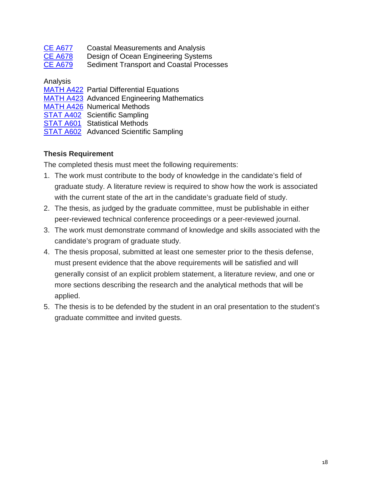| <b>CE A677</b> | <b>Coastal Measurements and Analysis</b>        |
|----------------|-------------------------------------------------|
| <b>CE A678</b> | Design of Ocean Engineering Systems             |
| <b>CE A679</b> | <b>Sediment Transport and Coastal Processes</b> |

Analysis

| <b>MATH A422 Partial Differential Equations</b>   |
|---------------------------------------------------|
| <b>MATH A423</b> Advanced Engineering Mathematics |
| <b>MATH A426 Numerical Methods</b>                |
| <b>STAT A402 Scientific Sampling</b>              |
| <b>STAT A601</b> Statistical Methods              |
| STAT A602 Advanced Scientific Sampling            |

## **Thesis Requirement**

The completed thesis must meet the following requirements:

- 1. The work must contribute to the body of knowledge in the candidate's field of graduate study. A literature review is required to show how the work is associated with the current state of the art in the candidate's graduate field of study.
- 2. The thesis, as judged by the graduate committee, must be publishable in either peer-reviewed technical conference proceedings or a peer-reviewed journal.
- 3. The work must demonstrate command of knowledge and skills associated with the candidate's program of graduate study.
- 4. The thesis proposal, submitted at least one semester prior to the thesis defense, must present evidence that the above requirements will be satisfied and will generally consist of an explicit problem statement, a literature review, and one or more sections describing the research and the analytical methods that will be applied.
- 5. The thesis is to be defended by the student in an oral presentation to the student's graduate committee and invited guests.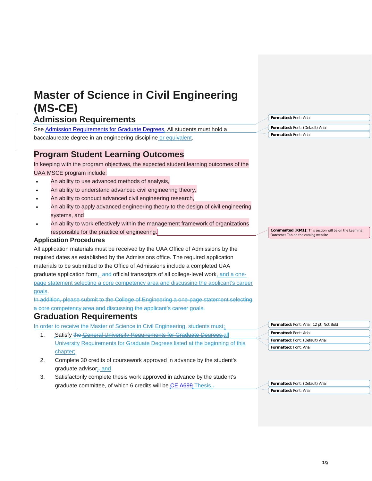| <b>Master of Science in Civil Engineering</b>                                             |                                                                                              |
|-------------------------------------------------------------------------------------------|----------------------------------------------------------------------------------------------|
| (MS-CE)                                                                                   |                                                                                              |
| <b>Admission Requirements</b>                                                             | Formatted: Font: Arial                                                                       |
| See Admission Requirements for Graduate Degrees. All students must hold a                 | Formatted: Font: (Default) Arial                                                             |
| baccalaureate degree in an engineering discipline or equivalent.                          | Formatted: Font: Arial                                                                       |
| <b>Program Student Learning Outcomes</b>                                                  |                                                                                              |
| In keeping with the program objectives, the expected student learning outcomes of the     |                                                                                              |
| UAA MSCE program include:                                                                 |                                                                                              |
| An ability to use advanced methods of analysis,                                           |                                                                                              |
| An ability to understand advanced civil engineering theory,                               |                                                                                              |
| An ability to conduct advanced civil engineering research,                                |                                                                                              |
| An ability to apply advanced engineering theory to the design of civil engineering        |                                                                                              |
| systems, and                                                                              |                                                                                              |
| An ability to work effectively within the management framework of organizations           |                                                                                              |
| responsible for the practice of engineering.                                              | Commented [KM1]: This section will be on the Learning<br>Outcomes Tab on the catalog website |
| <b>Application Procedures</b>                                                             |                                                                                              |
| All application materials must be received by the UAA Office of Admissions by the         |                                                                                              |
| required dates as established by the Admissions office. The required application          |                                                                                              |
| materials to be submitted to the Office of Admissions include a completed UAA             |                                                                                              |
| graduate application form, and official transcripts of all college-level work, and a one- |                                                                                              |
| page statement selecting a core competency area and discussing the applicant's career     |                                                                                              |
| goals.                                                                                    |                                                                                              |
| In addition, please submit to the College of Engineering a one-page statement selecting   |                                                                                              |
| a core competency area and discussing the applicant's career goals.                       |                                                                                              |
| <b>Graduation Requirements</b>                                                            |                                                                                              |
| In order to receive the Master of Science in Civil Engineering, students must:            | Formatted: Font: Arial, 12 pt, Not Bold                                                      |
| Satisfy the General University Requirements for Graduate Degrees all<br>1.                | Formatted: Font: Arial                                                                       |
| University Requirements for Graduate Degrees listed at the beginning of this              | Formatted: Font: (Default) Arial<br>Formatted: Font: Arial                                   |
| chapter;                                                                                  |                                                                                              |
| 2.<br>Complete 30 credits of coursework approved in advance by the student's              |                                                                                              |
| graduate advisor <sub>iz</sub> and                                                        |                                                                                              |
| 3.<br>Satisfactorily complete thesis work approved in advance by the student's            |                                                                                              |
| graduate committee, of which 6 credits will be CE A699 Thesis.-                           | Formatted: Font: (Default) Arial<br>Formatted: Font: Arial                                   |
|                                                                                           |                                                                                              |
|                                                                                           |                                                                                              |
|                                                                                           |                                                                                              |
|                                                                                           |                                                                                              |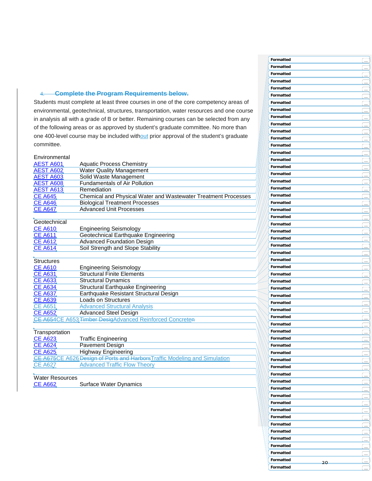### 4. **Complete the Program Requirements below.**

Students must complete at least three courses in one of the core competency areas of environmental, geotechnical, structures, transportation, water resources and one course in analysis all with a grade of B or better. Remaining courses can be selected from any of the following areas or as approved by student 's graduate committee. No more than one 400-level course may be included without prior approval of the student's graduate committee.

| Environmental     |                                                                |
|-------------------|----------------------------------------------------------------|
| <b>AEST A601</b>  | <b>Aquatic Process Chemistry</b>                               |
| AEST A602         | <b>Water Quality Management</b>                                |
| <b>AEST A603</b>  | Solid Waste Management                                         |
| <b>AEST A608</b>  | <b>Fundamentals of Air Pollution</b>                           |
| <b>AEST A613</b>  | Remediation                                                    |
| <b>CE A645</b>    | Chemical and Physical Water and Wastewater Treatment Processes |
| <b>CE A646</b>    | <b>Biological Treatment Processes</b>                          |
| <b>CE A647</b>    | <b>Advanced Unit Processes</b>                                 |
|                   |                                                                |
| Geotechnical      |                                                                |
| <u>CE A610</u>    | <b>Engineering Seismology</b>                                  |
| <b>CE A611</b>    | Geotechnical Earthquake Engineering                            |
| <b>CE A612</b>    | <b>Advanced Foundation Design</b>                              |
| CE A614           | Soil Strength and Slope Stability                              |
|                   |                                                                |
| <b>Structures</b> |                                                                |
| <b>CE A610</b>    | <b>Engineering Seismology</b>                                  |
| <b>CE A631</b>    | <b>Structural Finite Elements</b>                              |
| <b>CE A633</b>    | <b>Structural Dynamics</b>                                     |
| <b>CE A634</b>    | <b>Structural Earthquake Engineering</b>                       |
| CE A637.          | Earthquake Resistant Structural Design                         |
| <b>CE A639</b>    | <b>Loads on Structures</b>                                     |
| CE A651           | <b>Advanced Structural Analysis</b>                            |
| <b>CE A652</b>    | <b>Advanced Steel Design</b>                                   |
|                   | CE A654CE A653 Timber DesigAdvanced Reinforced Concreten       |
|                   |                                                                |
| Transportation    |                                                                |
| <b>CE A623</b>    | <b>Traffic Engineering</b>                                     |

| $\sim$ $ \sim$ $ \sim$ | $11$ and $-11$ gut $-11$ and $-11$                                         |
|------------------------|----------------------------------------------------------------------------|
| <b>CE A624</b>         | <b>Pavement Design</b>                                                     |
| CE A625                | Highway Engineering                                                        |
|                        | CE A675CE A626 Design of Ports and Harbors Traffic Modeling and Simulation |
| CE A627                | <b>Advanced Traffic Flow Theory</b>                                        |
|                        |                                                                            |

## Water Resources<br>CE A662

Surface Water Dynamics

| Formatted |    | يسأ                                 |
|-----------|----|-------------------------------------|
| Formatted |    | $\overline{\phantom{a}}$            |
| Formatted |    |                                     |
| Formatted |    | $\ldots$                            |
| Formatted |    | L.                                  |
|           |    | $\cdots$                            |
| Formatted |    | <u>in</u>                           |
| Formatted |    | $\overline{\mathcal{L}}$            |
| Formatted |    | $\equiv$                            |
| Formatted |    | ÷,                                  |
| Formatted |    | $\overline{\phantom{a}}$            |
| Formatted |    | $\ldots$                            |
| Formatted |    | $\cdots$                            |
| Formatted |    | $\ldots$                            |
| Formatted |    | للمحا                               |
| Formatted |    | <u>ia</u>                           |
| Formatted |    | $\frac{1}{2}$                       |
| Formatted |    | -<br>—                              |
| Formatted |    | <u>ا بن</u>                         |
| Formatted |    | ر<br>پاک                            |
| Formatted |    | i<br>Timografi                      |
| Formatted |    | $\stackrel{\cdot}{\phantom{\cdot}}$ |
| Formatted |    | $\frac{1}{2}$                       |
| Formatted |    | $\ldots$                            |
| Formatted |    | __ ا                                |
| Formatted |    | ۔۔۔ ا                               |
| Formatted |    | $\frac{1}{2}$                       |
| Formatted |    | ے۔ ا                                |
| Formatted |    |                                     |
| Formatted |    | .                                   |
| Formatted |    | $\sim$                              |
| Formatted |    | لمند                                |
| Formatted |    | $\frac{1}{2}$                       |
| Formatted |    | $\ldots$                            |
| Formatted |    | $\ddot{\phantom{a}}$                |
|           |    | $\pm$                               |
| Formatted |    | $\equiv$                            |
| Formatted |    | $\ldots$                            |
| Formatted |    |                                     |
| Formatted |    |                                     |
| Formatted |    | $\ldots$                            |
| Formatted |    | ے                                   |
| Formatted |    | ے۔ ا                                |
| Formatted |    | يتآ                                 |
| Formatted |    | ے۔)                                 |
| Formatted |    | ے                                   |
| Formatted |    | ے                                   |
| Formatted |    | $\overline{\mathbb{C}}$             |
| Formatted |    | ے                                   |
| Formatted |    | <u>C.,</u>                          |
| Formatted |    | l                                   |
| Formatted |    | $\overline{\phantom{a}}$            |
| Formatted |    | ۔۔۔ ا                               |
| Formatted |    | $\overline{\phantom{a}}$            |
| Formatted |    |                                     |
| Formatted |    |                                     |
| Formatted |    | ____                                |
| Formatted |    | $\lfloor  \rfloor$                  |
|           |    | <u>لس</u>                           |
| Formatted | 20 | $\frac{1}{2}$                       |
| Formatted |    | $\overline{\phantom{a}}$            |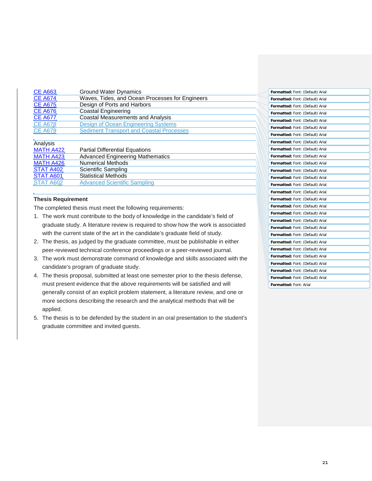| CE A663        | <b>Ground Water Dynamics</b>                    |
|----------------|-------------------------------------------------|
| <b>CE A674</b> | Waves, Tides, and Ocean Processes for Engineers |
| CE A675        | Design of Ports and Harbors                     |
| <b>CE A676</b> | <b>Coastal Engineering</b>                      |
| CE A677        | <b>Coastal Measurements and Analysis</b>        |
| <b>CE A678</b> | Design of Ocean Engineering Systems             |
| CE A679        | <b>Sediment Transport and Coastal Processes</b> |
|                |                                                 |

#### Analysis

| , ,,,,,,                                                    |  |           |
|-------------------------------------------------------------|--|-----------|
| MATH A422<br><b>Partial Differential Equations</b>          |  | Formatted |
| <b>Advanced Engineering Mathematics</b><br><b>MATH A423</b> |  | Formatted |
| MATH A426<br><b>Numerical Methods</b>                       |  | Formatted |
| STAT A402<br>Scientific Sampling                            |  | Formatted |
| <b>STAT A601</b><br><b>Statistical Methods</b>              |  | Formatted |
| <b>Advanced Scientific Sampling</b><br>STAT A602            |  | Eormatter |

#### **Thesis Requirement**

The completed thesis must meet the following requirements:

- 1. The work must contribute to the body of knowledge in the candidate's field of graduate study. A literature review is required to show how the work is associated with the current state of the art in the candidate's graduate field of study.
- 2. The thesis, as judged by the graduate committee, must be publishable in either peer-reviewed technical conference proceedings or a peer-reviewed journal.
- 3. The work must demonstrate command of knowledge and skills associated with the candidate's program of graduate study.
- 4. The thesis proposal, submitted at least one semester prior to the thesis defense, must present evidence that the above requirements will be satisfied and will generally consist of an explicit problem statement, a literature review, and one or more sections describing the research and the analytical methods that will be applied.
- 5. The thesis is to be defended by the student in an oral presentation to the student's graduate committee and invited guests.

| Formatted: Font: (Default) Arial |
|----------------------------------|
| Formatted: Font: (Default) Arial |
| Formatted: Font: (Default) Arial |
| Formatted: Font: (Default) Arial |
| Formatted: Font: (Default) Arial |
| Formatted: Font: (Default) Arial |
| Formatted: Font: (Default) Arial |
| Formatted: Font: (Default) Arial |
| Formatted: Font: (Default) Arial |
| Formatted: Font: (Default) Arial |
| Formatted: Font: (Default) Arial |
| Formatted: Font: (Default) Arial |
| Formatted: Font: (Default) Arial |
| Formatted: Font: (Default) Arial |
| Formatted: Font: (Default) Arial |
| Formatted: Font: (Default) Arial |
| Formatted: Font: (Default) Arial |
| Formatted: Font: (Default) Arial |
| Formatted: Font: (Default) Arial |
| Formatted: Font: (Default) Arial |
| Formatted: Font: (Default) Arial |
| Formatted: Font: (Default) Arial |
| Formatted: Font: (Default) Arial |
| Formatted: Font: (Default) Arial |
| Formatted: Font: (Default) Arial |
| Formatted: Font: (Default) Arial |
| Formatted: Font: (Default) Arial |
| Formatted: Font: Arial           |